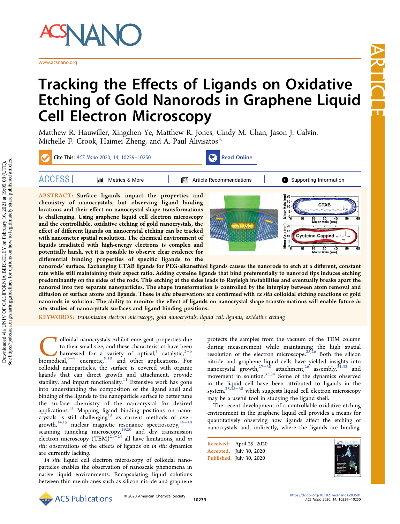

[www.acsnano.org](www.acsnano.org?ref=pdf)

# Tracking the Effects of Ligands on Oxidative Etching of Gold Nanorods in Graphene Liquid Cell Electron Microscopy

[Matthew R. Hauwiller,](https://pubs.acs.org/action/doSearch?field1=Contrib&text1="Matthew+R.+Hauwiller"&field2=AllField&text2=&publication=&accessType=allContent&Earliest=&ref=pdf) [Xingchen Ye,](https://pubs.acs.org/action/doSearch?field1=Contrib&text1="Xingchen+Ye"&field2=AllField&text2=&publication=&accessType=allContent&Earliest=&ref=pdf) [Matthew R. Jones,](https://pubs.acs.org/action/doSearch?field1=Contrib&text1="Matthew+R.+Jones"&field2=AllField&text2=&publication=&accessType=allContent&Earliest=&ref=pdf) [Cindy M. Chan,](https://pubs.acs.org/action/doSearch?field1=Contrib&text1="Cindy+M.+Chan"&field2=AllField&text2=&publication=&accessType=allContent&Earliest=&ref=pdf) [Jason J. Calvin,](https://pubs.acs.org/action/doSearch?field1=Contrib&text1="Jason+J.+Calvin"&field2=AllField&text2=&publication=&accessType=allContent&Earliest=&ref=pdf) [Michelle F. Crook,](https://pubs.acs.org/action/doSearch?field1=Contrib&text1="Michelle+F.+Crook"&field2=AllField&text2=&publication=&accessType=allContent&Earliest=&ref=pdf) [Haimei Zheng,](https://pubs.acs.org/action/doSearch?field1=Contrib&text1="Haimei+Zheng"&field2=AllField&text2=&publication=&accessType=allContent&Earliest=&ref=pdf) [and A. Paul Alivisatos](https://pubs.acs.org/action/doSearch?field1=Contrib&text1="A.+Paul+Alivisatos"&field2=AllField&text2=&publication=&accessType=allContent&Earliest=&ref=pdf)[\\*](#page-8-0)

| Cite This: ACS Nano 2020, 14, 10239-10250                                                                                                                                                                                                                                                                                | <b>Read Online</b>                                           |
|--------------------------------------------------------------------------------------------------------------------------------------------------------------------------------------------------------------------------------------------------------------------------------------------------------------------------|--------------------------------------------------------------|
| <b>ACCESS</b><br>Metrics & More                                                                                                                                                                                                                                                                                          | <b>III</b> Article Recommendations<br>Supporting Information |
| ABSTRACT: Surface ligands impact the properties and<br>chemistry of nanocrystals, but observing ligand binding<br>locations and their effect on nanocrystal shape transformations<br>is challenging. Using graphene liquid cell electron microscopy<br>and the controllable, oxidative etching of gold nanocrystals, the | <b>CTAB</b><br>50<br>Major Axis (nm)<br>$\widehat{E}20$      |

differential binding properties of specific ligands to the nanorods' surface. Exchanging CTAB ligands for PEG-alkanethiol ligands causes the nanorods to etch at a different, constant

effect of different ligands on nanocrystal etching can be tracked with nanometer spatial resolution. The chemical environment of liquids irradiated with high-energy electrons is complex and potentially harsh, yet it is possible to observe clear evidence for

rate while still maintaining their aspect ratio. Adding cysteine ligands that bind preferentially to nanorod tips induces etching predominantly on the sides of the rods. This etching at the sides leads to Rayleigh instabilities and eventually breaks apart the nanorod into two separate nanoparticles. The shape transformation is controlled by the interplay between atom removal and diffusion of surface atoms and ligands. These in situ observations are confirmed with ex situ colloidal etching reactions of gold nanorods in solution. The ability to monitor the effect of ligands on nanocrystal shape transformations will enable future in situ studies of nanocrystals surfaces and ligand binding positions.

KEYWORDS: transmission electron microscopy, gold nanocrystals, liquid cell, ligands, oxidative etching

colloidal nanocrystals exhibit emergent properties due to their small size, and these characteristics have been harnessed for a variety of optical,<sup>1</sup> catalytic,<sup>2-5</sup> biomedical,<sup>6-8</sup> energetic,<sup>9,10</sup> and other applicatio to their small size, and these characteristics have been harnessed for a variety of optical,<sup>1</sup> catalytic,<sup>2-5</sup> biomedical,6−<sup>8</sup> energetic,9,10 and other applications. For colloidal nanoparticles, the surface is covered with organic ligands that can direct growth and attachment, provide stability, and impart functionality.<sup>[11](#page-9-0)</sup> Extensive work has gone into understanding the composition of the ligand shell and binding of the ligands to the nanoparticle surface to better tune the surface chemistry of the nanocrystal for desired applications.[12](#page-9-0) Mapping ligand binding positions on nano-crystals is still challenging<sup>[13](#page-9-0)</sup> as current methods of over $growth, <sup>14,15</sup>$  nuclear magnetic resonance spectroscopy,  $16-18$  $16-18$ scanning tunneling microscopy, $19,20$  and dry transmission electron microscopy (TEM)<sup>[21](#page-9-0)–[24](#page-9-0)</sup> all have limitations, and in situ observations of the effects of ligands on in situ dynamics are currently lacking.

In situ liquid cell electron microscopy of colloidal nanoparticles enables the observation of nanoscale phenomena in native liquid environments. Encapsulating liquid solutions between thin membranes such as silicon nitride and graphene protects the samples from the vacuum of the TEM column during measurement while maintaining the high spatial resolution of the electron microscope.<sup>[25,26](#page-9-0)</sup> Both the silicon nitride and graphene liquid cells have yielded insights into nanocrystal growth,<sup>[27](#page-9-0)–[30](#page-9-0)</sup> attachment,<sup>[26](#page-9-0)</sup> assembly,<sup>[31,32](#page-9-0)</sup> and movement in solution.<sup>33,34</sup> Some of the dynamics observed in the liquid cell have been attributed to ligands in the system,<sup>[25,35](#page-9-0)–[38](#page-9-0)</sup> which suggests liquid cell electron microscopy may be a useful tool in studying the ligand shell.

Cysteine-Capped

The recent development of a controllable oxidative etching environment in the graphene liquid cell provides a means for quantitatively observing how ligands affect the etching of nanocrystals and, indirectly, where the ligands are binding.

Received: April 29, 2020 Accepted: July 30, 2020 Published: July 30, 2020



Article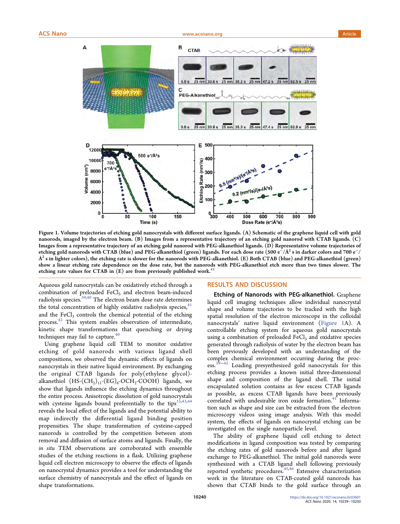<span id="page-1-0"></span>

Figure 1. Volume trajectories of etching gold nanocrystals with different surface ligands. (A) Schematic of the graphene liquid cell with gold nanorods, imaged by the electron beam. (B) Images from a representative trajectory of an etching gold nanorod with CTAB ligands. (C) Images from a representative trajectory of an etching gold nanorod with PEG-alkanethiol ligands. (D) Representative volume trajectories of etching gold nanorods with CTAB (blue) and PEG-alkanethiol (green) ligands. For each dose rate (500 e<sup>−/Å2</sup> s in darker colors and 700 e<sup>−/</sup>  $\AA^2$  s in lighter colors), the etching rate is slower for the nanorods with PEG-alkanethiol. (E) Both CTAB (blue) and PEG-alkanethiol (green) show a linear etching rate dependence on the dose rate, but the nanorods with PEG-alkanethiol etch more than two times slower. The etching rate values for CTAB in  $(E)$  are from previously published work.<sup>[41](#page-9-0)</sup>

Aqueous gold nanocrystals can be oxidatively etched through a combination of preloaded  $FeCl<sub>3</sub>$  and electron beam-induced radiolysis species.<sup>[39](#page-9-0),[40](#page-9-0)</sup> The electron beam dose rate determines the total concentration of highly oxidative radiolysis species, $41$ and the Fe $Cl<sub>3</sub>$  controls the chemical potential of the etching process.<sup>[42](#page-9-0)</sup> This system enables observation of intermediate, kinetic shape transformations that quenching or drying techniques may fail to capture.<sup>40</sup>

Using graphene liquid cell TEM to monitor oxidative etching of gold nanorods with various ligand shell compositions, we observed the dynamic effects of ligands on nanocrystals in their native liquid environment. By exchanging the original CTAB ligands for poly(ethylene glycol) alkanethiol  $(HS-(CH_2)_{11}-(EG)_{6}$ -OCH<sub>2</sub>-COOH) ligands, we show that ligands influence the etching dynamics throughout the entire process. Anisotropic dissolution of gold nanocrystals with cysteine ligands bound preferentially to the tips<sup>[15](#page-9-0),[43,44](#page-9-0)</sup> reveals the local effect of the ligands and the potential ability to map indirectly the differential ligand binding position propensities. The shape transformation of cysteine-capped nanorods is controlled by the competition between atom removal and diffusion of surface atoms and ligands. Finally, the in situ TEM observations are corroborated with ensemble studies of the etching reactions in a flask. Utilizing graphene liquid cell electron microscopy to observe the effects of ligands on nanocrystal dynamics provides a tool for understanding the surface chemistry of nanocrystals and the effect of ligands on shape transformations.

#### RESULTS AND DISCUSSION

Etching of Nanorods with PEG-alkanethiol. Graphene liquid cell imaging techniques allow individual nanocrystal shape and volume trajectories to be tracked with the high spatial resolution of the electron microscope in the colloidal nanocrystals' native liquid environment (Figure 1A). A controllable etching system for aqueous gold nanocrystals using a combination of preloaded FeCl<sub>3</sub> and oxidative species generated through radiolysis of water by the electron beam has been previously developed with an understanding of the complex chemical environment occurring during the process.[39](#page-9-0)−[42](#page-9-0) Loading presynthesized gold nanocrystals for this etching process provides a known initial three-dimensional shape and composition of the ligand shell. The initial encapsulated solution contains as few excess CTAB ligands as possible, as excess CTAB ligands have been previously correlated with undesirable iron oxide formation.<sup>[41](#page-9-0)</sup> Information such as shape and size can be extracted from the electron microscopy videos using image analysis. With this model system, the effects of ligands on nanocrystal etching can be investigated on the single nanoparticle level.

The ability of graphene liquid cell etching to detect modifications in ligand composition was tested by comparing the etching rates of gold nanorods before and after ligand exchange to PEG-alkanethiol. The initial gold nanorods were synthesized with a CTAB ligand shell following previously reported synthetic procedures.  $45,46$  Extensive characterization work in the literature on CTAB-coated gold nanorods has shown that CTAB binds to the gold surface through an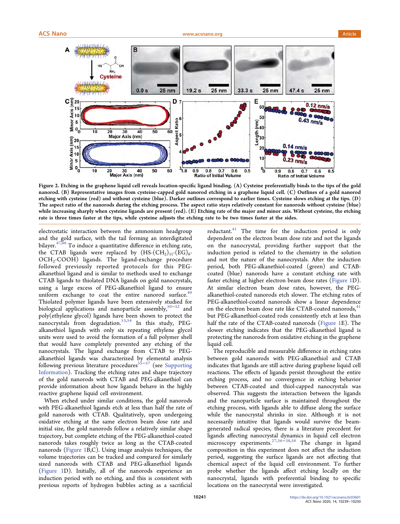<span id="page-2-0"></span>**ACS Nano and Article 2018 and Article 2018 and Article 2018 and Article 2018 and Article 2018 and Article 2018** 



Figure 2. Etching in the graphene liquid cell reveals location-specific ligand binding. (A) Cysteine preferentially binds to the tips of the gold nanorod. (B) Representative images from cysteine-capped gold nanorod etching in a graphene liquid cell. (C) Outlines of a gold nanorod etching with cysteine (red) and without cysteine (blue). Darker outlines correspond to earlier times. Cysteine slows etching at the tips. (D) The aspect ratio of the nanorods during the etching process. The aspect ratio stays relatively constant for nanorods without cysteine (blue) while increasing sharply when cysteine ligands are present (red). (E) Etching rate of the major and minor axis. Without cysteine, the etching rate is three times faster at the tips, while cysteine adjusts the etching rate to be two times faster at the sides.

electrostatic interaction between the ammonium headgroup and the gold surface, with the tail forming an interdigitated bilayer. $47,48$  $47,48$  $47,48$  To induce a quantitative difference in etching rate, the CTAB ligands were replaced by  $(HS-(CH<sub>2</sub>)<sub>11</sub>-(EG)<sub>6</sub>$ OCH<sub>2</sub>-COOH) ligands. The ligand-exchange procedure followed previously reported protocols for this PEGalkanethiol ligand and is similar to methods used to exchange CTAB ligands to thiolated DNA ligands on gold nanocrystals, using a large excess of PEG-alkanethiol ligand to ensure uniform exchange to coat the entire nanorod surface. $49$ Thiolated polymer ligands have been extensively studied for biological applications and nanoparticle assembly,<sup>[50](#page-10-0)–[52](#page-10-0)</sup> and poly(ethylene glycol) ligands have been shown to protect the nanocrystals from degradation.[53](#page-10-0),[54](#page-10-0) In this study, PEGalkanethiol ligands with only six repeating ethylene glycol units were used to avoid the formation of a full polymer shell that would have completely prevented any etching of the nanocrystals. The ligand exchange from CTAB to PEGalkanethiol ligands was characterized by elemental analysis following previous literature procedures<sup>55–[57](#page-10-0)</sup> (see [Supporting](http://pubs.acs.org/doi/suppl/10.1021/acsnano.0c03601/suppl_file/nn0c03601_si_008.pdf) [Information](http://pubs.acs.org/doi/suppl/10.1021/acsnano.0c03601/suppl_file/nn0c03601_si_008.pdf)). Tracking the etching rates and shape trajectory of the gold nanorods with CTAB and PEG-alkanethiol can provide information about how ligands behave in the highly reactive graphene liquid cell environment.

When etched under similar conditions, the gold nanorods with PEG-alkanethiol ligands etch at less than half the rate of gold nanorods with CTAB. Qualitatively, upon undergoing oxidative etching at the same electron beam dose rate and initial size, the gold nanorods follow a relatively similar shape trajectory, but complete etching of the PEG-alkanethiol-coated nanorods takes roughly twice as long as the CTAB-coated nanorods [\(Figure 1](#page-1-0)B,C). Using image analysis techniques, the volume trajectories can be tracked and compared for similarly sized nanorods with CTAB and PEG-alkanethiol ligands ([Figure 1D](#page-1-0)). Initially, all of the nanorods experience an induction period with no etching, and this is consistent with previous reports of hydrogen bubbles acting as a sacrificial

reductant.<sup>[41](#page-9-0)</sup> The time for the induction period is only dependent on the electron beam dose rate and not the ligands on the nanocrystal, providing further support that the induction period is related to the chemistry in the solution and not the nature of the nanocrystals. After the induction period, both PEG-alkanethiol-coated (green) and CTABcoated (blue) nanorods have a constant etching rate with faster etching at higher electron beam dose rates [\(Figure 1](#page-1-0)D). At similar electron beam dose rates, however, the PEGalkanethiol-coated nanorods etch slower. The etching rates of PEG-alkanethiol-coated nanorods show a linear dependence on the electron beam dose rate like CTAB-coated nanorods,<sup>41</sup> but PEG-alkanethiol-coated rods consistently etch at less than half the rate of the CTAB-coated nanorods [\(Figure 1E](#page-1-0)). The slower etching indicates that the PEG-alkanethiol ligand is protecting the nanorods from oxidative etching in the graphene liquid cell.

The reproducible and measurable difference in etching rates between gold nanorods with PEG-alkanethiol and CTAB indicates that ligands are still active during graphene liquid cell reactions. The effects of ligands persist throughout the entire etching process, and no convergence in etching behavior between CTAB-coated and thiol-capped nanocrystals was observed. This suggests the interaction between the ligands and the nanoparticle surface is maintained throughout the etching process, with ligands able to diffuse along the surface while the nanocrystal shrinks in size. Although it is not necessarily intuitive that ligands would survive the beamgenerated radical species, there is a literature precedent for ligands affecting nanocrystal dynamics in liquid cell electron microscopy experiments.[27,36](#page-9-0)−[38](#page-9-0),[58](#page-10-0) The change in ligand composition in this experiment does not affect the induction period, suggesting the surface ligands are not affecting that chemical aspect of the liquid cell environment. To further probe whether the ligands affect etching locally on the nanocrystal, ligands with preferential binding to specific locations on the nanocrystal were investigated.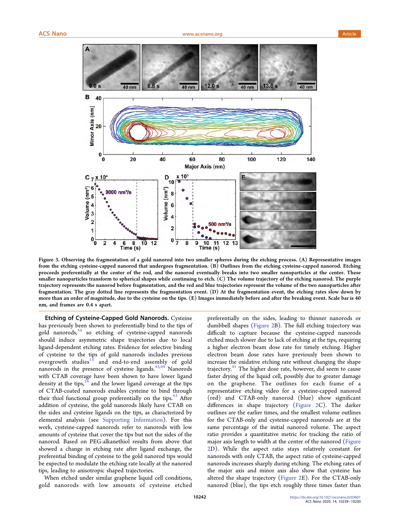<span id="page-3-0"></span>

Figure 3. Observing the fragmentation of a gold nanorod into two smaller spheres during the etching process. (A) Representative images from the etching cysteine-capped nanorod that undergoes fragmentation. (B) Outlines from the etching cysteine-capped nanorod. Etching proceeds preferentially at the center of the rod, and the nanorod eventually breaks into two smaller nanoparticles at the center. These smaller nanoparticles transform to spherical shapes while continuing to etch. (C) The volume trajectory of the etching nanorod. The purple trajectory represents the nanorod before fragmentation, and the red and blue trajectories represent the volume of the two nanoparticles after fragmentation. The gray dotted line represents the fragmentation event. (D) At the fragmentation event, the etching rates slow down by more than an order of magnitude, due to the cysteine on the tips. (E) Images immediately before and after the breaking event. Scale bar is 40 nm, and frames are 0.4 s apart.

Etching of Cysteine-Capped Gold Nanorods. Cysteine has previously been shown to preferentially bind to the tips of gold nanorods,  $54$  so etching of cysteine-capped nanorods should induce asymmetric shape trajectories due to local ligand-dependent etching rates. Evidence for selective binding of cysteine to the tips of gold nanorods includes previous overgrowth studies $15$  and end-to-end assembly of gold nanorods in the presence of cysteine ligands.<sup>[43](#page-9-0),[44](#page-9-0)</sup> Nanorods with CTAB coverage have been shown to have lower ligand density at the tips, $24$  and the lower ligand coverage at the tips of CTAB-coated nanorods enables cysteine to bind through their thiol functional group preferentially on the tips.<sup>43</sup> After addition of cysteine, the gold nanorods likely have CTAB on the sides and cysteine ligands on the tips, as characterized by elemental analysis (see [Supporting Information\)](http://pubs.acs.org/doi/suppl/10.1021/acsnano.0c03601/suppl_file/nn0c03601_si_008.pdf). For this work, cysteine-capped nanorods refer to nanorods with low amounts of cysteine that cover the tips but not the sides of the nanorod. Based on PEG-alkanethiol results from above that showed a change in etching rate after ligand exchange, the preferential binding of cysteine to the gold nanorod tips would be expected to modulate the etching rate locally at the nanorod tips, leading to anisotropic shaped trajectories.

When etched under similar graphene liquid cell conditions, gold nanorods with low amounts of cysteine etched preferentially on the sides, leading to thinner nanorods or dumbbell shapes ([Figure 2](#page-2-0)B). The full etching trajectory was difficult to capture because the cysteine-capped nanorods etched much slower due to lack of etching at the tips, requiring a higher electron beam dose rate for timely etching. Higher electron beam dose rates have previously been shown to increase the oxidative etching rate without changing the shape trajectory.<sup>[41](#page-9-0)</sup> The higher dose rate, however, did seem to cause faster drying of the liquid cell, possibly due to greater damage on the graphene. The outlines for each frame of a representative etching video for a cysteine-capped nanorod (red) and CTAB-only nanorod (blue) show significant differences in shape trajectory [\(Figure 2](#page-2-0)C). The darker outlines are the earlier times, and the smallest volume outlines for the CTAB-only and cysteine-capped nanorods are at the same percentage of the initial nanorod volume. The aspect ratio provides a quantitative metric for tracking the ratio of major axis length to width at the center of the nanorod [\(Figure](#page-2-0) [2](#page-2-0)D). While the aspect ratio stays relatively constant for nanorods with only CTAB, the aspect ratio of cysteine-capped nanorods increases sharply during etching. The etching rates of the major axis and minor axis also show that cysteine has altered the shape trajectory [\(Figure 2E](#page-2-0)). For the CTAB-only nanorod (blue), the tips etch roughly three times faster than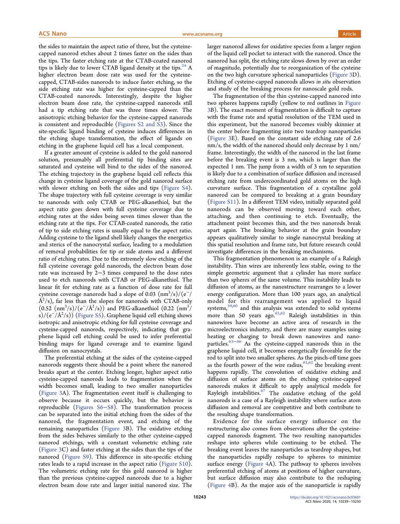the sides to maintain the aspect ratio of three, but the cysteinecapped nanorod etches about 2 times faster on the sides than the tips. The faster etching rate at the CTAB-coated nanorod tips is likely due to lower CTAB ligand density at the tips. $^{24}$  A higher electron beam dose rate was used for the cysteinecapped, CTAB-sides nanorods to induce faster etching, so the side etching rate was higher for cysteine-capped than the CTAB-coated nanorods. Interestingly, despite the higher electron beam dose rate, the cysteine-capped nanorods still had a tip etching rate that was three times slower. The anisotropic etching behavior for the cysteine-capped nanorods is consistent and reproducible [\(Figures S2 and S3](http://pubs.acs.org/doi/suppl/10.1021/acsnano.0c03601/suppl_file/nn0c03601_si_008.pdf)). Since the site-specific ligand binding of cysteine induces differences in the etching shape transformation, the effect of ligands on etching in the graphene liquid cell has a local component.

If a greater amount of cysteine is added to the gold nanorod solution, presumably all preferential tip binding sites are saturated and cysteine will bind to the sides of the nanorod. The etching trajectory in the graphene liquid cell reflects this change in cysteine ligand coverage of the gold nanorod surface with slower etching on both the sides and tips [\(Figure S4](http://pubs.acs.org/doi/suppl/10.1021/acsnano.0c03601/suppl_file/nn0c03601_si_008.pdf)). The shape trajectory with full cysteine coverage is very similar to nanorods with only CTAB or PEG-alkanethiol, but the aspect ratio goes down with full cysteine coverage due to etching rates at the sides being seven times slower than the etching rate at the tips. For CTAB-coated nanorods, the ratio of tip to side etching rates is usually equal to the aspect ratio. Adding cysteine to the ligand shell likely changes the energetics and sterics of the nanocrystal surface, leading to a modulation of removal probabilities for tip or side atoms and a different ratio of etching rates. Due to the extremely slow etching of the full cysteine coverage gold nanorods, the electron beam dose rate was increased by 2−3 times compared to the dose rates used to etch nanorods with CTAB or PEG-alkanethiol. The linear fit for etching rate as a function of dose rate for full cysteine coverage nanorods had a slope of 0.03  $\rm (nm^3/s)/(e^-/$  $\mathring{A}^2$ /s), far less than the slopes for nanorods with CTAB-only  $(0.52 \, \text{(nm}^3\text{/s})/(\text{e}^-/\text{Å}^2\text{/s})\right)$  and PEG-alkanethiol  $(0.22 \, \text{(nm}^3/\text{S}))$ s)/(e<sup>−</sup>/Å<sup>2</sup>/s)) ([Figure S5](http://pubs.acs.org/doi/suppl/10.1021/acsnano.0c03601/suppl_file/nn0c03601_si_008.pdf)). Graphene liquid cell etching shows isotropic and anisotropic etching for full cysteine coverage and cysteine-capped nanorods, respectively, indicating that graphene liquid cell etching could be used to infer preferential binding maps for ligand coverage and to examine ligand diffusion on nanocrystals.

The preferential etching at the sides of the cysteine-capped nanorods suggests there should be a point where the nanorod breaks apart at the center. Etching longer, higher aspect ratio cysteine-capped nanorods leads to fragmentation when the width becomes small, leading to two smaller nanoparticles ([Figure 3A](#page-3-0)). The fragmentation event itself is challenging to observe because it occurs quickly, but the behavior is reproducible [\(Figures S6](http://pubs.acs.org/doi/suppl/10.1021/acsnano.0c03601/suppl_file/nn0c03601_si_008.pdf)−S8). The transformation process can be separated into the initial etching from the sides of the nanorod, the fragmentation event, and etching of the remaining nanoparticles ([Figure 3B](#page-3-0)). The oxidative etching from the sides behaves similarly to the other cysteine-capped nanorod etchings, with a constant volumetric etching rate ([Figure 3](#page-3-0)C) and faster etching at the sides than the tips of the nanorod ([Figure S9](http://pubs.acs.org/doi/suppl/10.1021/acsnano.0c03601/suppl_file/nn0c03601_si_008.pdf)). This difference in site-specific etching rates leads to a rapid increase in the aspect ratio ([Figure S10](http://pubs.acs.org/doi/suppl/10.1021/acsnano.0c03601/suppl_file/nn0c03601_si_008.pdf)). The volumetric etching rate for this gold nanorod is higher than the previous cysteine-capped nanorods due to a higher electron beam dose rate and larger initial nanorod size. The

larger nanorod allows for oxidative species from a larger region of the liquid cell pocket to interact with the nanorod. Once the nanorod has split, the etching rate slows down by over an order of magnitude, potentially due to reorganization of the cysteine on the two high curvature spherical nanoparticles ([Figure 3](#page-3-0)D). Etching of cysteine-capped nanorods allows in situ observation and study of the breaking process for nanoscale gold rods.

The fragmentation of the thin cysteine-capped nanorod into two spheres happens rapidly (yellow to red outlines in [Figure](#page-3-0) [3](#page-3-0)B). The exact moment of fragmentation is difficult to capture with the frame rate and spatial resolution of the TEM used in this experiment, but the nanorod becomes visibly skinnier at the center before fragmenting into two teardrop nanoparticles ([Figure 3E](#page-3-0)). Based on the constant side etching rate of 2.6 nm/s, the width of the nanorod should only decrease by 1 nm/ frame. Interestingly, the width of the nanorod in the last frame before the breaking event is 3 nm, which is larger than the expected 1 nm. The jump from a width of 3 nm to separation is likely due to a combination of surface diffusion and increased etching rate from undercoordinated gold atoms on the high curvature surface. This fragmentation of a crystalline gold nanorod can be compared to breaking at a grain boundary ([Figure S11\)](http://pubs.acs.org/doi/suppl/10.1021/acsnano.0c03601/suppl_file/nn0c03601_si_008.pdf). In a different TEM video, initially separated gold nanorods can be observed moving toward each other, attaching, and then continuing to etch. Eventually, the attachment point becomes thin, and the two nanorods break apart again. The breaking behavior at the grain boundary appears qualitatively similar to single nanocrystal breaking at this spatial resolution and frame rate, but future research could investigate differences in the breaking mechanisms.

This fragmentation phenomenon is an example of a Raleigh instability. Thin wires are inherently less stable, owing to the simple geometric argument that a cylinder has more surface than two spheres of the same volume. This instability leads to diffusion of atoms, as the nanostructure rearranges to a lower energy configuration. More than 100 years ago, an analytical model for this rearrangement was applied to liquid systems,<sup>[59](#page-10-0),[60](#page-10-0)</sup> and this analysis was extended to solid systems more than 50 years ago.<sup>[61](#page-10-0),[62](#page-10-0)</sup> Raleigh instabilities in thin nanowires have become an active area of research in the microelectronics industry, and there are many examples using heating or charging to break down nanowires and nanoparticles[.63](#page-10-0)<sup>−</sup>[66](#page-10-0) As the cysteine-capped nanorods thin in the graphene liquid cell, it becomes energetically favorable for the rod to split into two smaller spheres. As the pinch-off time goes as the fourth power of the wire radius,  $61,62$  $61,62$  the breaking event happens rapidly. The convolution of oxidative etching and diffusion of surface atoms on the etching cysteine-capped nanorods makes it difficult to apply analytical models for Rayleigh instabilities.<sup>[67](#page-10-0)</sup> The oxidative etching of the gold nanorods is a case of a Rayleigh instability where surface atom diffusion and removal are competitive and both contribute to the resulting shape transformation.

Evidence for the surface energy influence on the restructuring also comes from observations after the cysteinecapped nanorods fragment. The two resulting nanoparticles reshape into spheres while continuing to be etched. The breaking event leaves the nanoparticles as teardrop shapes, but the nanoparticles rapidly reshape to spheres to minimize surface energy [\(Figure 4](#page-5-0)A). The pathway to spheres involves preferential etching of atoms at positions of higher curvature, but surface diffusion may also contribute to the reshaping ([Figure 4B](#page-5-0)). As the major axis of the nanoparticle is rapidly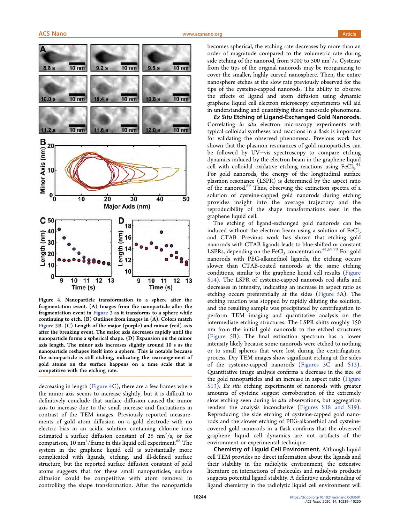<span id="page-5-0"></span>

Figure 4. Nanoparticle transformation to a sphere after the fragmentation event. (A) Images from the nanoparticle after the fragmentation event in [Figure 3](#page-3-0) as it transforms to a sphere while continuing to etch. (B) Outlines from images in (A). Colors match [Figure 3B](#page-3-0). (C) Length of the major (purple) and minor (red) axis after the breaking event. The major axis decreases rapidly until the nanoparticle forms a spherical shape. (D) Expansion on the minor axis length. The minor axis increases slightly around 10 s as the nanoparticle reshapes itself into a sphere. This is notable because the nanoparticle is still etching, indicating the rearrangement of gold atoms on the surface happens on a time scale that is competitive with the etching rate.

decreasing in length (Figure 4C), there are a few frames where the minor axis seems to increase slightly, but it is difficult to definitively conclude that surface diffusion caused the minor axis to increase due to the small increase and fluctuations in contrast of the TEM images. Previously reported measurements of gold atom diffusion on a gold electrode with no electric bias in an acidic solution containing chlorine ions estimated a surface diffusion constant of  $25 \text{ nm}^2/\text{s}$ , or for comparison, 10 nm<sup>2</sup>/frame in this liquid cell experiment.<sup>68</sup> The system in the graphene liquid cell is substantially more complicated with ligands, etching, and ill-defined surface structure, but the reported surface diffusion constant of gold atoms suggests that for these small nanoparticles, surface diffusion could be competitive with atom removal in controlling the shape transformation. After the nanoparticle

becomes spherical, the etching rate decreases by more than an order of magnitude compared to the volumetric rate during side etching of the nanorod, from 9000 to 500  $\text{nm}^3\text{/s}$ . Cysteine from the tips of the original nanorods may be reorganizing to cover the smaller, highly curved nanosphere. Then, the entire nanosphere etches at the slow rate previously observed for the tips of the cysteine-capped nanorods. The ability to observe the effects of ligand and atom diffusion using dynamic graphene liquid cell electron microscopy experiments will aid in understanding and quantifying these nanoscale phenomena.

Ex Situ Etching of Ligand-Exchanged Gold Nanorods. Correlating in situ electron microscopy experiments with typical colloidal syntheses and reactions in a flask is important for validating the observed phenomena. Previous work has shown that the plasmon resonances of gold nanoparticles can be followed by UV−vis spectroscopy to compare etching dynamics induced by the electron beam in the graphene liquid cell with colloidal oxidative etching reactions using  $FeCl<sub>3</sub>$ .<sup>[41](#page-9-0)</sup> For gold nanorods, the energy of the longitudinal surface plasmon resonance (LSPR) is determined by the aspect ratio of the nanorod.<sup>69</sup> Thus, observing the extinction spectra of a solution of cysteine-capped gold nanorods during etching provides insight into the average trajectory and the reproducibility of the shape transformations seen in the graphene liquid cell.

The etching of ligand-exchanged gold nanorods can be induced without the electron beam using a solution of  $FeCl<sub>3</sub>$ and CTAB. Previous work has shown that etching gold nanorods with CTAB ligands leads to blue-shifted or constant LSPRs, depending on the FeCl<sub>3</sub> concentration.<sup>[41](#page-9-0)[,69](#page-10-0),[70](#page-10-0)</sup> For gold nanorods with PEG-alkanethiol ligands, the etching occurs slower than CTAB-coated nanorods at the same etching conditions, similar to the graphene liquid cell results [\(Figure](http://pubs.acs.org/doi/suppl/10.1021/acsnano.0c03601/suppl_file/nn0c03601_si_008.pdf) [S14\)](http://pubs.acs.org/doi/suppl/10.1021/acsnano.0c03601/suppl_file/nn0c03601_si_008.pdf). The LSPR of cysteine-capped nanorods red shifts and decreases in intensity, indicating an increase in aspect ratio as etching occurs preferentially at the sides ([Figure 5A](#page-6-0)). The etching reaction was stopped by rapidly diluting the solution, and the resulting sample was precipitated by centrifugation to perform TEM imaging and quantitative analysis on the intermediate etching structures. The LSPR shifts roughly 150 nm from the initial gold nanorods to the etched structures ([Figure 5](#page-6-0)B). The final extinction spectrum has a lower intensity likely because some nanorods were etched to nothing or to small spheres that were lost during the centrifugation process. Dry TEM images show significant etching at the sides of the cysteine-capped nanorods ([Figures 5](#page-6-0)C and [S12](http://pubs.acs.org/doi/suppl/10.1021/acsnano.0c03601/suppl_file/nn0c03601_si_008.pdf)). Quantitative image analysis confirms a decrease in the size of the gold nanoparticles and an increase in aspect ratio [\(Figure](http://pubs.acs.org/doi/suppl/10.1021/acsnano.0c03601/suppl_file/nn0c03601_si_008.pdf) [S13\)](http://pubs.acs.org/doi/suppl/10.1021/acsnano.0c03601/suppl_file/nn0c03601_si_008.pdf). Ex situ etching experiments of nanorods with greater amounts of cysteine suggest corroboration of the extremely slow etching seen during in situ observations, but aggregation renders the analysis inconclusive [\(Figures S18 and S19](http://pubs.acs.org/doi/suppl/10.1021/acsnano.0c03601/suppl_file/nn0c03601_si_008.pdf)). Reproducing the side etching of cysteine-capped gold nanorods and the slower etching of PEG-alkanethiol and cysteinecovered gold nanorods in a flask confirms that the observed graphene liquid cell dynamics are not artifacts of the environment or experimental technique.

Chemistry of Liquid Cell Environment. Although liquid cell TEM provides no direct information about the ligands and their stability in the radiolytic environment, the extensive literature on interactions of molecules and radiolysis products suggests potential ligand stability. A definitive understanding of ligand chemistry in the radiolytic liquid cell environment will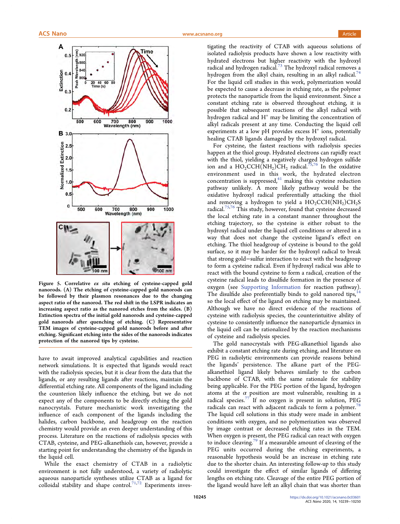<span id="page-6-0"></span>

Figure 5. Correlative ex situ etching of cysteine-capped gold nanorods. (A) The etching of cysteine-capped gold nanorods can be followed by their plasmon resonances due to the changing aspect ratio of the nanorod. The red shift in the LSPR indicates an increasing aspect ratio as the nanorod etches from the sides. (B) Extinction spectra of the initial gold nanorods and cysteine-capped gold nanorods after quenching of etching. (C) Representative TEM images of cysteine-capped gold nanorods before and after etching. Significant etching into the sides of the nanorods indicates protection of the nanorod tips by cysteine.

have to await improved analytical capabilities and reaction network simulations. It is expected that ligands would react with the radiolysis species, but it is clear from the data that the ligands, or any resulting ligands after reactions, maintain the differential etching rate. All components of the ligand including the counterion likely influence the etching, but we do not expect any of the components to be directly etching the gold nanocrystals. Future mechanistic work investigating the influence of each component of the ligands including the halides, carbon backbone, and headgroup on the reaction chemistry would provide an even deeper understanding of this process. Literature on the reactions of radiolysis species with CTAB, cysteine, and PEG-alkanethiols can, however, provide a starting point for understanding the chemistry of the ligands in the liquid cell.

While the exact chemistry of CTAB in a radiolytic environment is not fully understood, a variety of radiolytic aqueous nanoparticle syntheses utilize CTAB as a ligand for colloidal stability and shape control.<sup>[71](#page-10-0),[72](#page-10-0)</sup> Experiments inves-

tigating the reactivity of CTAB with aqueous solutions of isolated radiolysis products have shown a low reactivity with hydrated electrons but higher reactivity with the hydroxyl radical and hydrogen radical.<sup>[73](#page-10-0)</sup> The hydroxyl radical removes a hydrogen from the alkyl chain, resulting in an alkyl radical.<sup>74</sup> For the liquid cell studies in this work, polymerization would be expected to cause a decrease in etching rate, as the polymer protects the nanoparticle from the liquid environment. Since a constant etching rate is observed throughout etching, it is possible that subsequent reactions of the alkyl radical with hydrogen radical and  $H^+$  may be limiting the concentration of alkyl radicals present at any time. Conducting the liquid cell experiments at a low pH provides excess  $H^+$  ions, potentially healing CTAB ligands damaged by the hydroxyl radical.

For cysteine, the fastest reactions with radiolysis species happen at the thiol group. Hydrated electrons can rapidly react with the thiol, yielding a negatively charged hydrogen sulfide ion and a  $HO_2CCH(NH_2)\tilde{C}H_2$  radical.<sup>[75,76](#page-10-0)</sup> In the oxidative environment used in this work, the hydrated electron concentration is suppressed, $41$  making this cysteine reduction pathway unlikely. A more likely pathway would be the oxidative hydroxyl radical preferentially attacking the thiol and removing a hydrogen to yield a  $HO_2CCH(NH_2)CH_2S$ radical.<sup>[75,76](#page-10-0)</sup> This study, however, found that cysteine decreased the local etching rate in a constant manner throughout the etching trajectory, so the cysteine is either robust to the hydroxyl radical under the liquid cell conditions or altered in a way that does not change the cysteine ligand's effect on etching. The thiol headgroup of cysteine is bound to the gold surface, so it may be harder for the hydroxyl radical to break that strong gold−sulfur interaction to react with the headgroup to form a cysteine radical. Even if hydroxyl radical was able to react with the bound cysteine to form a radical, creation of the cysteine radical leads to disulfide formation in the presence of oxygen (see [Supporting Information](http://pubs.acs.org/doi/suppl/10.1021/acsnano.0c03601/suppl_file/nn0c03601_si_008.pdf) for reaction pathway). The disulfide also preferentially binds to gold nanorod tips, $<sup>1</sup>$ </sup> so the local effect of the ligand on etching may be maintained. Although we have no direct evidence of the reactions of cysteine with radiolysis species, the counterintuitive ability of cysteine to consistently influence the nanoparticle dynamics in the liquid cell can be rationalized by the reaction mechanisms of cysteine and radiolysis species.

The gold nanocrystals with PEG-alkanethiol ligands also exhibit a constant etching rate during etching, and literature on PEG in radiolytic environments can provide reasons behind the ligands' persistence. The alkane part of the PEGalkanethiol ligand likely behaves similarly to the carbon backbone of CTAB, with the same rationale for stability being applicable. For the PEG portion of the ligand, hydrogen atoms at the  $\alpha$  position are most vulnerable, resulting in a radical species[.77](#page-10-0) If no oxygen is present in solution, PEG radicals can react with adjacent radicals to form a polymer.<sup>78</sup> The liquid cell solutions in this study were made in ambient conditions with oxygen, and no polymerization was observed by image contrast or decreased etching rates in the TEM. When oxygen is present, the PEG radical can react with oxygen to induce cleaving.[79](#page-10-0) If a measurable amount of cleaving of the PEG units occurred during the etching experiments, a reasonable hypothesis would be an increase in etching rate due to the shorter chain. An interesting follow-up to this study could investigate the effect of similar ligands of differing lengths on etching rate. Cleavage of the entire PEG portion of the ligand would have left an alkyl chain that was shorter than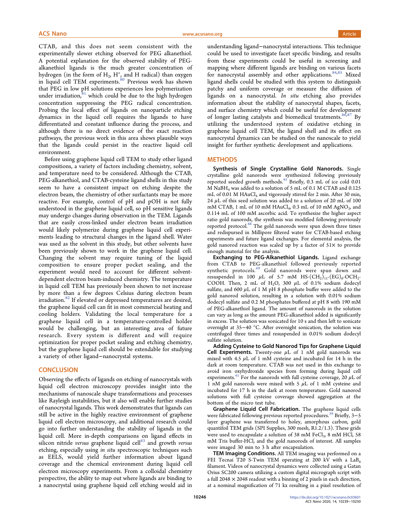CTAB, and this does not seem consistent with the experimentally slower etching observed for PEG alkanethiol. A potential explanation for the observed stability of PEGalkanethiol ligands is the much greater concentration of hydrogen (in the form of  $H_2$ ,  $H_{20}^+$  and H radical) than oxygen in liquid cell TEM experiments.<sup>[80](#page-10-0)</sup> Previous work has shown that PEG in low pH solutions experiences less polymerization under irradiation, $81$  which could be due to the high hydrogen concentration suppressing the PEG radical concentration. Probing the local effect of ligands on nanoparticle etching dynamics in the liquid cell requires the ligands to have differentiated and constant influence during the process, and although there is no direct evidence of the exact reaction pathways, the previous work in this area shows plausible ways that the ligands could persist in the reactive liquid cell environment.

Before using graphene liquid cell TEM to study other ligand compositions, a variety of factors including chemistry, solvent, and temperature need to be considered. Although the CTAB, PEG-alkanethiol, and CTAB-cysteine ligand shells in this study seem to have a consistent impact on etching despite the electron beam, the chemistry of other surfactants may be more reactive. For example, control of pH and pOH is not fully understood in the graphene liquid cell, so pH sensitive ligands may undergo changes during observation in the TEM. Ligands that are easily cross-linked under electron beam irradiation would likely polymerize during graphene liquid cell experiments leading to structural changes in the ligand shell. Water was used as the solvent in this study, but other solvents have been previously shown to work in the graphene liquid cell. Changing the solvent may require tuning of the liquid composition to ensure proper pocket sealing, and the experiment would need to account for different solventdependent electron beam-induced chemistry. The temperature in liquid cell TEM has previously been shown to not increase by more than a few degrees Celsius during electron beam irradiation.<sup>[82](#page-10-0)</sup> If elevated or depressed temperatures are desired, the graphene liquid cell can fit in most commercial heating and cooling holders. Validating the local temperature for a graphene liquid cell in a temperature-controlled holder would be challenging, but an interesting area of future research. Every system is different and will require optimization for proper pocket sealing and etching chemistry, but the graphene liquid cell should be extendable for studying a variety of other ligand−nanocrystal systems.

# **CONCLUSION**

Observing the effects of ligands on etching of nanocrystals with liquid cell electron microscopy provides insight into the mechanisms of nanoscale shape transformations and processes like Rayleigh instabilities, but it also will enable further studies of nanocrystal ligands. This work demonstrates that ligands can still be active in the highly reactive environment of graphene liquid cell electron microscopy, and additional research could go into further understanding the stability of ligands in the liquid cell. More in-depth comparisons on ligand effects in  $silicon$  nitride versus graphene liquid cell $83$  and growth versus etching, especially using in situ spectroscopic techniques such as EELS, would yield further information about ligand coverage and the chemical environment during liquid cell electron microscopy experiments. From a colloidal chemistry perspective, the ability to map out where ligands are binding to a nanocrystal using graphene liquid cell etching would aid in

understanding ligand−nanocrystal interactions. This technique could be used to investigate facet specific binding, and results from these experiments could be useful in screening and mapping where different ligands are binding on various facets for nanocrystal assembly and other applications. [84,85](#page-10-0) Mixed ligand shells could be studied with this system to distinguish patchy and uniform coverage or measure the diffusion of ligands on a nanocrystal. In situ etching also provides information about the stability of nanocrystal shapes, facets, and surface chemistry which could be useful for development of longer lasting catalysts and biomedical treatments.<sup>[86](#page-10-0)[,87](#page-11-0)</sup> By utilizing the understood system of oxidative etching in graphene liquid cell TEM, the ligand shell and its effect on nanocrystal dynamics can be studied on the nanoscale to yield insight for further synthetic development and applications.

# **METHODS**

Synthesis of Single Crystalline Gold Nanorods. Single crystalline gold nanorods were synthesized following previously<br>reported seeded growth methods.<sup>[45](#page-10-0)</sup> Briefly, 0.3 mL of ice cold 0.01 M NaBH4 was added to a solution of 5 mL of 0.1 M CTAB and 0.125 mL of 0.01 M HAuCl<sub>4</sub> and vigorously stirred for 2 min. After 30 min, 24  $\mu$ L of this seed solution was added to a solution of 20 mL of 100 mM CTAB, 1 mL of 10 mM  $HAuCl<sub>4</sub>$ , 0.3 mL of 10 mM  $AgNO<sub>3</sub>$ , and 0.114 mL of 100 mM ascorbic acid. To synthesize the higher aspect ratio gold nanorods, the synthesis was modified following previously reported protocol.<sup>[88](#page-11-0)</sup> The gold nanorods were spun down three times and redispursed in Millipore filtered water for CTAB-based etching experiments and future ligand exchanges. For elemental analysis, the gold nanorod reaction was scaled up by a factor of 51× to provide enough material for the analysis.

Exchanging to PEG-Alkanethiol Ligands. Ligand exchange from CTAB to PEG-alkanethiol followed previously reported synthetic protocols.[49](#page-10-0) Gold nanorods were spun down and resuspended in 100  $\mu$ L of 5.7 mM HS- $\left(\text{CH}_2\right)_{11}$ - $\left(\text{EG}\right)_6$ -OCH<sub>2</sub>-COOH. Then, 2 mL of H<sub>2</sub>O, 300  $\mu$ L of 0.1% sodium dodecyl sulfate, and 600  $\mu$ L of 1 M pH 8 phosphate buffer were added to the gold nanorod solution, resulting in a solution with 0.01% sodium dodecyl sulfate and 0.2 M phosphates buffered at pH 8 with 190 mM of PEG-alkanethiol ligand. The amount of nanorods in the solution can vary as long as the amount PEG-alkanethiol added is significantly in excess. The solution was sonicated for 10 s and then left to sonicate overnight at 35−40 °C. After overnight sonication, the solution was centrifuged three times and resuspended in 0.01% sodium dodecyl sulfate solution.

Adding Cysteine to Gold Nanorod Tips for Graphene Liquid Cell Experiments. Twenty-one  $\mu$ L of 1 nM gold nanorods was mixed with 4.5  $\mu$ L of 1 mM cysteine and incubated for 14 h in the dark at room temperature. CTAB was not used in this exchange to avoid iron oxyhydroxide species from forming during liquid cell experiments.<sup>[41](#page-9-0)</sup> For the nanorods with full cysteine coverage, 20  $\mu$ L of 1 nM gold nanorods were mixed with 5  $\mu$ L of 1 mM cysteine and incubated for 17 h in the dark at room temperature. Gold nanorod solutions with full cysteine coverage showed aggregation at the bottom of the micro test tube.

Graphene Liquid Cell Fabrication. The graphene liquid cells were fabricated following previous reported procedures.<sup>[39](#page-9-0)</sup> Briefly, 3-5 layer graphene was transferred to holey, amorphous carbon, gold quantifoil TEM grids (SPI Supplies, 300 mesh, R1.2/1.3). These grids were used to encapsulate a solution of 38 mM FeCl<sub>3</sub>, 8 mM HCl, 58 mM Tris buffer-HCl, and the gold nanorods of interest. All samples were imaged 30 min to 3 h after encapsulation.

TEM Imaging Conditions. All TEM imaging was performed on a FEI Tecnai T20 S-Twin TEM operating at 200 kV with a  $LaB_6$ filament. Videos of nanocrystal dynamics were collected using a Gatan Orius SC200 camera utilizing a custom digital micrograph script with a full  $2048 \times 2048$  readout with a binning of 2 pixels in each direction, at a nominal magnification of 71 kx resulting in a pixel resolution of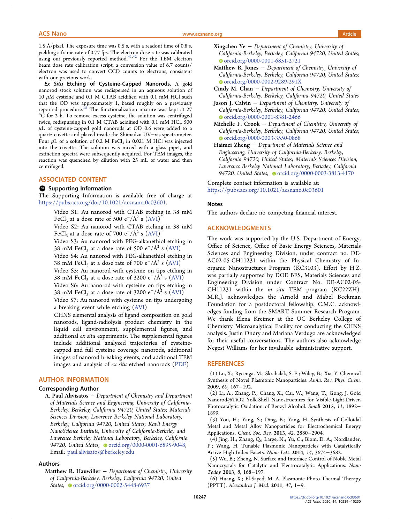<span id="page-8-0"></span>1.5 Å/pixel. The exposure time was 0.5 s, with a readout time of 0.8 s, yielding a frame rate of 0.77 fps. The electron dose rate was calibrated using our previously reported method.<sup>[41](#page-9-0),[42](#page-9-0)</sup> For the TEM electron beam dose rate calibration script, a conversion value of 6.7 counts/ electron was used to convert CCD counts to electrons, consistent with our previous work.

Ex Situ Etching of Cysteine-Capped Nanorods. A gold nanorod stock solution was redispersed in an aqueous solution of 10 μM cysteine and 0.1 M CTAB acidified with 0.1 mM HCl such that the OD was approximately 1, based roughly on a previously reported procedure.<sup>[15](#page-9-0)</sup> The functionalization mixture was kept at  $27$ °C for 2 h. To remove excess cysteine, the solution was centrifuged twice, redispursing in 0.1 M CTAB acidified with 0.1 mM HCl. 500  $\mu$ L of cysteine-capped gold nanorods at OD 0.6 were added to a quartz cuvette and placed inside the Shimadzu UV-vis spectrometer. Four  $\mu$ L of a solution of 0.2 M FeCl<sub>3</sub> in 0.021 M HCl was injected into the cuvette. The solution was mixed with a glass pipet, and extinction spectra were subsequently acquired. For TEM images, the reaction was quenched by dilution with 25 mL of water and then centrifuged.

# ASSOCIATED CONTENT

# **6** Supporting Information

The Supporting Information is available free of charge at [https://pubs.acs.org/doi/10.1021/acsnano.0c03601](https://pubs.acs.org/doi/10.1021/acsnano.0c03601?goto=supporting-info).

Video S1: Au nanorod with CTAB etching in 38 mM FeCl<sub>3</sub> at a dose rate of 500 e<sup>- $/Å$ 2 s [\(AVI\)](http://pubs.acs.org/doi/suppl/10.1021/acsnano.0c03601/suppl_file/nn0c03601_si_001.avi)</sup>

Video S2: Au nanorod with CTAB etching in 38 mM FeCl<sub>3</sub> at a dose rate of 700 e<sup>-</sup>/Å<sup>2</sup> s [\(AVI\)](http://pubs.acs.org/doi/suppl/10.1021/acsnano.0c03601/suppl_file/nn0c03601_si_002.avi)

Video S3: Au nanorod with PEG-alkanethiol etching in 38 mM FeCl<sub>3</sub> at a dose rate of 500 e<sup>-</sup>/Å<sup>2</sup> s ([AVI](http://pubs.acs.org/doi/suppl/10.1021/acsnano.0c03601/suppl_file/nn0c03601_si_003.avi))

Video S4: Au nanorod with PEG-alkanethiol etching in 38 mM FeCl<sub>3</sub> at a dose rate of 700 e<sup>-</sup>/Å<sup>2</sup> s ([AVI](http://pubs.acs.org/doi/suppl/10.1021/acsnano.0c03601/suppl_file/nn0c03601_si_004.avi))

Video S5: Au nanorod with cysteine on tips etching in 38 mM FeCl<sub>3</sub> at a dose rate of 3200 e<sup>-</sup>/Å<sup>2</sup> s [\(AVI\)](http://pubs.acs.org/doi/suppl/10.1021/acsnano.0c03601/suppl_file/nn0c03601_si_005.avi)

Video S6: Au nanorod with cysteine on tips etching in 38 mM FeCl<sub>3</sub> at a dose rate of 3200 e<sup>-</sup>/Å<sup>2</sup> s [\(AVI\)](http://pubs.acs.org/doi/suppl/10.1021/acsnano.0c03601/suppl_file/nn0c03601_si_006.avi)

Video S7: Au nanorod with cysteine on tips undergoing a breaking event while etching ([AVI](http://pubs.acs.org/doi/suppl/10.1021/acsnano.0c03601/suppl_file/nn0c03601_si_007.avi))

CHNS elemental analysis of ligand composition on gold nanorods, ligand-radiolysis product chemistry in the liquid cell environment, supplemental figures, and additional ex situ experiments. The supplemental figures include additional analyzed trajectories of cysteinecapped and full cysteine coverage nanorods, additional images of nanorod breaking events, and additional TEM images and analysis of ex situ etched nanorods [\(PDF](http://pubs.acs.org/doi/suppl/10.1021/acsnano.0c03601/suppl_file/nn0c03601_si_008.pdf))

# AUTHOR INFORMATION

## Corresponding Author

A. Paul Alivisatos − Department of Chemistry and Department of Materials Science and Engineering, University of California-Berkeley, Berkeley, California 94720, United States; Materials Sciences Division, Lawrence Berkeley National Laboratory, Berkeley, California 94720, United States; Kavli Energy NanoScience Institute, University of California-Berkeley and Lawrence Berkeley National Laboratory, Berkeley, California 94720, United States; c[orcid.org/0000-0001-6895-9048;](http://orcid.org/0000-0001-6895-9048) Email: [paul.alivisatos@berkeley.edu](mailto:paul.alivisatos@berkeley.edu)

#### Authors

Matthew R. Hauwiller  $-$  Department of Chemistry, University of California-Berkeley, Berkeley, California 94720, United States; [orcid.org/0000-0002-5448-6937](http://orcid.org/0000-0002-5448-6937)

- Xingchen Ye  $−$  Department of Chemistry, University of California-Berkeley, Berkeley, California 94720, United States; [orcid.org/0000-0001-6851-2721](http://orcid.org/0000-0001-6851-2721)
- Matthew R. Jones − Department of Chemistry, University of California-Berkeley, Berkeley, California 94720, United States; [orcid.org/0000-0002-9289-291X](http://orcid.org/0000-0002-9289-291X)
- Cindy M. Chan − Department of Chemistry, University of California-Berkeley, Berkeley, California 94720, United States
- Jason J. Calvin − Department of Chemistry, University of California-Berkeley, Berkeley, California 94720, United States; [orcid.org/0000-0001-8381-2466](http://orcid.org/0000-0001-8381-2466)
- Michelle F. Crook − Department of Chemistry, University of California-Berkeley, Berkeley, California 94720, United States; [orcid.org/0000-0003-3550-0868](http://orcid.org/0000-0003-3550-0868)
- Haimei Zheng − Department of Materials Science and Engineering, University of California-Berkeley, Berkeley, California 94720, United States; Materials Sciences Division, Lawrence Berkeley National Laboratory, Berkeley, California 94720, United States; @[orcid.org/0000-0003-3813-4170](http://orcid.org/0000-0003-3813-4170)

Complete contact information is available at: [https://pubs.acs.org/10.1021/acsnano.0c03601](https://pubs.acs.org/doi/10.1021/acsnano.0c03601?ref=pdf)

## Notes

The authors declare no competing financial interest.

### ACKNOWLEDGMENTS

The work was supported by the U.S. Department of Energy, Office of Science, Office of Basic Energy Sciences, Materials Sciences and Engineering Division, under contract no. DE-AC02-05-CH11231 within the Physical Chemistry of Inorganic Nanostructures Program (KC3103). Effort by H.Z. was partially supported by DOE BES, Materials Sciences and Engineering Division under Contract No. DE-AC02-05- CH11231 within the in situ TEM program (KC22ZH). M.R.J. acknowledges the Arnold and Mabel Beckman Foundation for a postdoctoral fellowship. C.M.C. acknowledges funding from the SMART Summer Research Program. We thank Elena Kreimer at the UC Berkeley College of Chemistry Microanalytical Facility for conducting the CHNS analysis. Justin Ondry and Mariana Verdugo are acknowledged for their useful conversations. The authors also acknowledge Negest Williams for her invaluable administrative support.

### REFERENCES

(1) Lu, X.; Rycenga, M.; Skrabalak, S. E.; Wiley, B.; Xia, Y. [Chemical](https://dx.doi.org/10.1146/annurev.physchem.040808.090434) [Synthesis of Novel Plasmonic Nanoparticles.](https://dx.doi.org/10.1146/annurev.physchem.040808.090434) Annu. Rev. Phys. Chem. 2009, 60, 167−192.

(2) Li, A.; Zhang, P.; Chang, X.; Cai, W.; Wang, T.; Gong, J[. Gold](https://dx.doi.org/10.1002/smll.201403058) [Nanorod@TiO2 Yolk-Shell Nanostructures for Visible-Light-Driven](https://dx.doi.org/10.1002/smll.201403058) [Photocatalytic Oxidation of Benzyl Alcohol.](https://dx.doi.org/10.1002/smll.201403058) Small 2015, 11, 1892− 1899.

(3) You, H.; Yang, S.; Ding, B.; Yang, H[. Synthesis of Colloidal](https://dx.doi.org/10.1039/C2CS35319A) [Metal and Metal Alloy Nanoparticles for Electrochemical Energy](https://dx.doi.org/10.1039/C2CS35319A) [Applications.](https://dx.doi.org/10.1039/C2CS35319A) Chem. Soc. Rev. 2013, 42, 2880−2904.

(4) Jing, H.; Zhang, Q.; Large, N.; Yu, C.; Blom, D. A.; Nordlander, P.; Wang, H[. Tunable Plasmonic Nanoparticles with Catalytically](https://dx.doi.org/10.1021/nl5015734) [Active High-Index Facets.](https://dx.doi.org/10.1021/nl5015734) Nano Lett. 2014, 14, 3674−3682.

(5) Wu, B.; Zheng, N[. Surface and Interface Control of Noble Metal](https://dx.doi.org/10.1016/j.nantod.2013.02.006) [Nanocrystals for Catalytic and Electrocatalytic Applications.](https://dx.doi.org/10.1016/j.nantod.2013.02.006) Nano Today 2013, 8, 168−197.

(6) Huang, X.; El-Sayed, M. A[. Plasmonic Photo-Thermal Therapy](https://dx.doi.org/10.1016/j.ajme.2011.01.001) [\(PPTT\).](https://dx.doi.org/10.1016/j.ajme.2011.01.001) Alexandria J. Med. 2011, 47, 1−9.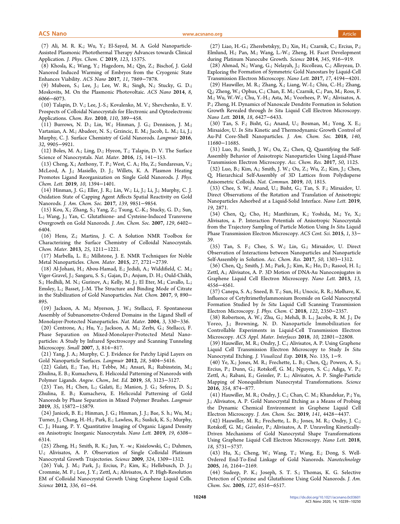<span id="page-9-0"></span>(7) Ali, M. R. K.; Wu, Y.; El-Sayed, M. A[. Gold Nanoparticle-](https://dx.doi.org/10.1021/acs.jpcc.9b01961)[Assisted Plasmonic Photothermal Therapy Advances towards Clinical](https://dx.doi.org/10.1021/acs.jpcc.9b01961) [Application.](https://dx.doi.org/10.1021/acs.jpcc.9b01961) J. Phys. Chem. C 2019, 123, 15375.

(8) Khosla, K.; Wang, Y.; Hagedorn, M.; Qin, Z.; Bischof, J. [Gold](https://dx.doi.org/10.1021/acsnano.7b02216) [Nanorod Induced Warming of Embryos from the Cryogenic State](https://dx.doi.org/10.1021/acsnano.7b02216) [Enhances Viability.](https://dx.doi.org/10.1021/acsnano.7b02216) ACS Nano 2017, 11, 7869−7878.

(9) Mubeen, S.; Lee, J.; Lee, W. R.; Singh, N.; Stucky, G. D.; Moskovits, M. [On the Plasmonic Photovoltaic.](https://dx.doi.org/10.1021/nn501379r) ACS Nano 2014, 8, 6066−6073.

(10) Talapin, D. V.; Lee, J.-S.; Kovalenko, M. V.; Shevchenko, E. V. [Prospects of Colloidal Nanocrystals for Electronic and Optoelectronic](https://dx.doi.org/10.1021/cr900137k) [Applications.](https://dx.doi.org/10.1021/cr900137k) Chem. Rev. 2010, 110, 389−458.

(11) Burrows, N. D.; Lin, W.; Hinman, J. G.; Dennison, J. M.; Vartanian, A. M.; Abadeer, N. S.; Grzincic, E. M.; Jacob, L. M.; Li, J.; Murphy, C. J[. Surface Chemistry of Gold Nanorods.](https://dx.doi.org/10.1021/acs.langmuir.6b02706) Langmuir 2016, 32, 9905−9921.

(12) Boles, M. A.; Ling, D.; Hyeon, T.; Talapin, D. V. [The Surface](https://dx.doi.org/10.1038/nmat4526) [Science of Nanocrystals.](https://dx.doi.org/10.1038/nmat4526) Nat. Mater. 2016, 15, 141−153.

(13) Cheng, X.; Anthony, T. P.; West, C. A.; Hu, Z.; Sundaresan, V.; McLeod, A. J.; Masiello, D. J.; Willets, K. A[. Plasmon Heating](https://dx.doi.org/10.1021/acs.jpclett.9b00079) [Promotes Ligand Reorganization on Single Gold Nanorods.](https://dx.doi.org/10.1021/acs.jpclett.9b00079) J. Phys. Chem. Lett. 2019, 10, 1394−1401.

(14) Hinman, J. G.; Eller, J. R.; Lin, W.; Li, J.; Li, J.; Murphy, C. J. [Oxidation State of Capping Agent Affects Spatial Reactivity on Gold](https://dx.doi.org/10.1021/jacs.7b06391) [Nanorods.](https://dx.doi.org/10.1021/jacs.7b06391) J. Am. Chem. Soc. 2017, 139, 9851−9854.

(15) Kou, X.; Zhang, S.; Yang, Z.; Tsung, C.-K.; Stucky, G. D.; Sun, L.; Wang, J.; Yan, C. [Glutathione- and Cysteine-Induced Transverse](https://dx.doi.org/10.1021/ja0710508) [Overgrowth on Gold Nanorods.](https://dx.doi.org/10.1021/ja0710508) J. Am. Chem. Soc. 2007, 129, 6402− 6404.

(16) Hens, Z.; Martins, J. C[. A Solution NMR Toolbox for](https://dx.doi.org/10.1021/cm303361s) [Characterizing the Surface Chemistry of Colloidal Nanocrystals.](https://dx.doi.org/10.1021/cm303361s) Chem. Mater. 2013, 25, 1211−1221.

(17) Marbella, L. E.; Millstone, J. E. [NMR Techniques for Noble](https://dx.doi.org/10.1021/cm504809c) [Metal Nanoparticles.](https://dx.doi.org/10.1021/cm504809c) Chem. Mater. 2015, 27, 2721−2739.

(18) Al-Johani, H.; Abou-Hamad, E.; Jedidi, A.; Widdifield, C. M.; Viger-Gravel, J.; Sangaru, S. S.; Gajan, D.; Anjum, D. H.; Ould-Chikh, S.; Hedhili, M. N.; Gurinov, A.; Kelly, M. J.; El Eter, M.; Cavallo, L.; Emsley, L.; Basset, J.-M. [The Structure and Binding Mode of Citrate](https://dx.doi.org/10.1038/nchem.2752) [in the Stabilization of Gold Nanoparticles.](https://dx.doi.org/10.1038/nchem.2752) Nat. Chem. 2017, 9, 890− 895.

(19) Jackson, A. M.; Myerson, J. W.; Stellacci, F[. Spontaneous](https://dx.doi.org/10.1038/nmat1116) [Assembly of Subnanometre-Ordered Domains in the Ligand Shell of](https://dx.doi.org/10.1038/nmat1116) [Monolayer-Protected Nanoparticles.](https://dx.doi.org/10.1038/nmat1116) Nat. Mater. 2004, 3, 330−336.

(20) Centrone, A.; Hu, Y.; Jackson, A. M.; Zerbi, G.; Stellacci, F. [Phase Separation on Mixed-Monolayer-Protected Metal Nano](https://dx.doi.org/10.1002/smll.200600736)[particles: A Study by Infrared Spectroscopy and Scanning Tunneling](https://dx.doi.org/10.1002/smll.200600736) [Microscopy.](https://dx.doi.org/10.1002/smll.200600736) Small 2007, 3, 814−817.

(21) Yang, J. A.; Murphy, C. J. [Evidence for Patchy Lipid Layers on](https://dx.doi.org/10.1021/la300325p) [Gold Nanoparticle Surfaces.](https://dx.doi.org/10.1021/la300325p) Langmuir 2012, 28, 5404−5416.

(22) Galati, E.; Tao, H.; Tebbe, M.; Ansari, R.; Rubinstein, M.; Zhulina, E. B.; Kumacheva, E. [Helicoidal Patterning of Nanorods with](https://dx.doi.org/10.1002/anie.201812887) [Polymer Ligands.](https://dx.doi.org/10.1002/anie.201812887) Angew. Chem., Int. Ed. 2019, 58, 3123−3127.

(23) Tao, H.; Chen, L.; Galati, E.; Manion, J. G.; Seferos, D. S.; Zhulina, E. B.; Kumacheva, E. [Helicoidal Patterning of Gold](https://dx.doi.org/10.1021/acs.langmuir.9b02001) [Nanorods by Phase Separation in Mixed Polymer Brushes.](https://dx.doi.org/10.1021/acs.langmuir.9b02001) Langmuir 2019, 35, 15872−15879.

(24) Janicek, B. E.; Hinman, J. G.; Hinman, J. J.; Bae, S. h.; Wu, M.; Turner, J.; Chang, H.-H.; Park, E.; Lawless, R.; Suslick, K. S.; Murphy, C. J.; Huang, P. Y. [Quantitative Imaging of Organic Ligand Density](https://dx.doi.org/10.1021/acs.nanolett.9b02434) [on Anisotropic Inorganic Nanocrystals.](https://dx.doi.org/10.1021/acs.nanolett.9b02434) Nano Lett. 2019, 19, 6308− 6314.

(25) Zheng, H.; Smith, R. K.; Jun, Y. -w.; Kisielowski, C.; Dahmen, U.; Alivisatos, A. P. [Observation of Single Colloidal Platinum](https://dx.doi.org/10.1126/science.1172104) [Nanocrystal Growth Trajectories.](https://dx.doi.org/10.1126/science.1172104) Science 2009, 324, 1309−1312.

(26) Yuk, J. M.; Park, J.; Ercius, P.; Kim, K.; Hellebusch, D. J.; Crommie, M. F.; Lee, J. Y.; Zettl, A.; Alivisatos, A. P[. High-Resolution](https://dx.doi.org/10.1126/science.1217654) [EM of Colloidal Nanocrystal Growth Using Graphene Liquid Cells.](https://dx.doi.org/10.1126/science.1217654) Science 2012, 336, 61−64.

(27) Liao, H.-G.; Zherebetskyy, D.; Xin, H.; Czarnik, C.; Ercius, P.; Elmlund, H.; Pan, M.; Wang, L.-W.; Zheng, H. [Facet Development](https://dx.doi.org/10.1126/science.1253149) [during Platinum Nanocube Growth.](https://dx.doi.org/10.1126/science.1253149) Science 2014, 345, 916−919.

(28) Ahmad, N.; Wang, G.; Nelayah, J.; Ricolleau, C.; Alloyeau, D. Exploring [the Formation of Symmetric Gold Nanostars by Liquid-Cell](https://dx.doi.org/10.1021/acs.nanolett.7b01013) [Transmission Electron Microscopy.](https://dx.doi.org/10.1021/acs.nanolett.7b01013) Nano Lett. 2017, 17, 4194−4201.

(29) Hauwiller, M. R.; Zhang, X.; Liang, W.-I.; Chiu, C.-H.; Zhang, Q.; Zheng, W.; Ophus, C.; Chan, E. M.; Czarnik, C.; Pan, M.; Ross, F. M.; Wu, W.-W.; Chu, Y.-H.; Asta, M.; Voorhees, P. W.; Alivisatos, A. P.; Zheng, H[. Dynamics of Nanoscale Dendrite Formation in Solution](https://dx.doi.org/10.1021/acs.nanolett.8b02819) Growth Revealed through In Situ [Liquid Cell Electron Microscopy.](https://dx.doi.org/10.1021/acs.nanolett.8b02819) Nano Lett. 2018, 18, 6427−6433.

(30) Tan, S. F.; Bisht, G.; Anand, U.; Bosman, M.; Yong, X. E.; Mirsaidov, U. In Situ [Kinetic and Thermodynamic Growth Control of](https://dx.doi.org/10.1021/jacs.8b05217) [Au-Pd Core-Shell Nanoparticles.](https://dx.doi.org/10.1021/jacs.8b05217) J. Am. Chem. Soc. 2018, 140, 11680−11685.

(31) Luo, B.; Smith, J. W.; Ou, Z.; Chen, Q[. Quantifying the Self-](https://dx.doi.org/10.1021/acs.accounts.7b00048)[Assembly Behavior of Anisotropic Nanoparticles Using Liquid-Phase](https://dx.doi.org/10.1021/acs.accounts.7b00048) [Transmission Electron Microscopy.](https://dx.doi.org/10.1021/acs.accounts.7b00048) Acc. Chem. Res. 2017, 50, 1125.

(32) Luo, B.; Kim, A.; Smith, J. W.; Ou, Z.; Wu, Z.; Kim, J.; Chen, Q. [Hierarchical Self-Assembly of 3D Lattices from Polydisperse](https://dx.doi.org/10.1038/s41467-019-09787-6) [Anisometric Colloids.](https://dx.doi.org/10.1038/s41467-019-09787-6) Nat. Commun. 2019, 10, 1815.

(33) Chee, S. W.; Anand, U.; Bisht, G.; Tan, S. F.; Mirsaidov, U. [Direct Observations of the Rotation and Translation of Anisotropic](https://dx.doi.org/10.1021/acs.nanolett.8b04962) [Nanoparticles Adsorbed at a Liquid-Solid Interface.](https://dx.doi.org/10.1021/acs.nanolett.8b04962) Nano Lett. 2019, 19, 2871.

(34) Chen, Q.; Cho, H.; Manthiram, K.; Yoshida, M.; Ye, X.; Alivisatos, a. P. [Interaction Potentials of Anisotropic Nanocrystals](https://dx.doi.org/10.1021/acscentsci.5b00001) [from the Trajectory Sampling of Particle Motion Using](https://dx.doi.org/10.1021/acscentsci.5b00001) In Situ Liquid [Phase Transmission Electron Microscopy.](https://dx.doi.org/10.1021/acscentsci.5b00001) ACS Cent. Sci. 2015, 1, 33− 39.

(35) Tan, S. F.; Chee, S. W.; Lin, G.; Mirsaidov, U[. Direct](https://dx.doi.org/10.1021/acs.accounts.7b00063) [Observation of Interactions between Nanoparticles and Nanoparticle](https://dx.doi.org/10.1021/acs.accounts.7b00063) [Self-Assembly in Solution.](https://dx.doi.org/10.1021/acs.accounts.7b00063) Acc. Chem. Res. 2017, 50, 1303−1312.

(36) Chen, Q.; Smith, J. M.; Park, J.; Kim, K.; Ho, D.; Rasool, H. I.; Zettl, A.; Alivisatos, A. P. [3D Motion of DNA-Au Nanoconjugates in](https://dx.doi.org/10.1021/nl402694n) [Graphene Liquid Cell Electron Microscopy.](https://dx.doi.org/10.1021/nl402694n) Nano Lett. 2013, 13, 4556−4561.

(37) Canepa, S. A.; Sneed, B. T.; Sun, H.; Unocic, R. R.; Mølhave, K. [Influence of Cetyltrimethylammonium Bromide on Gold Nanocrystal](https://dx.doi.org/10.1021/acs.jpcc.7b06383) Formation Studied by In Situ [Liquid Cell Scanning Transmission](https://dx.doi.org/10.1021/acs.jpcc.7b06383) [Electron Microscopy.](https://dx.doi.org/10.1021/acs.jpcc.7b06383) J. Phys. Chem. C 2018, 122, 2350−2357.

(38) Robertson, A. W.; Zhu, G.; Mehdi, B. L.; Jacobs, R. M. J.; De Yoreo, J.; Browning, N. D[. Nanoparticle Immobilization for](https://dx.doi.org/10.1021/acsami.8b03688) [Controllable Experiments in Liquid-Cell Transmission Electron](https://dx.doi.org/10.1021/acsami.8b03688) [Microscopy.](https://dx.doi.org/10.1021/acsami.8b03688) ACS Appl. Mater. Interfaces 2018, 10, 22801−22808.

(39) Hauwiller, M. R.; Ondry, J. C.; Alivisatos, A. P[. Using Graphene](https://dx.doi.org/10.3791/57665) [Liquid Cell Transmission Electron Microscopy to Study](https://dx.doi.org/10.3791/57665) In Situ [Nanocrystal Etching.](https://dx.doi.org/10.3791/57665) J. Visualized Exp. 2018, No. 135, 1−9.

(40) Ye, X.; Jones, M. R.; Frechette, L. B.; Chen, Q.; Powers, A. S.; Ercius, P.; Dunn, G.; Rotskoff, G. M.; Nguyen, S. C.; Adiga, V. P.; Zettl, A.; Rabani, E.; Geissler, P. L.; Alivisatos, A. P. [Single-Particle](https://dx.doi.org/10.1126/science.aah4434) [Mapping of Nonequilibrium Nanocrystal Transformations.](https://dx.doi.org/10.1126/science.aah4434) Science 2016, 354, 874−877.

(41) Hauwiller, M. R.; Ondry, J. C.; Chan, C. M.; Khandekar, P.; Yu, J.; Alivisatos, A. P. [Gold Nanocrystal Etching as a Means of Probing](https://dx.doi.org/10.1021/jacs.9b00082) [the Dynamic Chemical Environment in Graphene Liquid Cell](https://dx.doi.org/10.1021/jacs.9b00082) [Electron Microscopy.](https://dx.doi.org/10.1021/jacs.9b00082) J. Am. Chem. Soc. 2019, 141, 4428−4437.

(42) Hauwiller, M. R.; Frechette, L. B.; Jones, M. R.; Ondry, J. C.; Rotskoff, G. M.; Geissler, P.; Alivisatos, A. P[. Unraveling Kinetically-](https://dx.doi.org/10.1021/acs.nanolett.8b02337)[Driven Mechanisms of Gold Nanocrystal Shape Transformations](https://dx.doi.org/10.1021/acs.nanolett.8b02337) [Using Graphene Liquid Cell Electron Microscopy.](https://dx.doi.org/10.1021/acs.nanolett.8b02337) Nano Lett. 2018, 18, 5731−5737.

(43) Hu, X.; Cheng, W.; Wang, T.; Wang, E.; Dong, S[. Well-](https://dx.doi.org/10.1088/0957-4484/16/10/032)[Ordered End-To-End Linkage of Gold Nanorods.](https://dx.doi.org/10.1088/0957-4484/16/10/032) Nanotechnology 2005, 16, 2164−2169.

(44) Sudeep, P. K.; Joseph, S. T. S.; Thomas, K. G. [Selective](https://dx.doi.org/10.1021/ja051145e) [Detection of Cysteine and Glutathione Using Gold Nanorods.](https://dx.doi.org/10.1021/ja051145e) J. Am. Chem. Soc. 2005, 127, 6516−6517.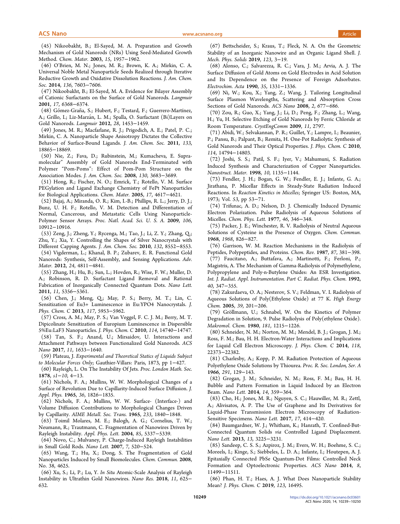<span id="page-10-0"></span>(45) Nikoobakht, B.; El-Sayed, M. A[. Preparation and Growth](https://dx.doi.org/10.1021/cm020732l) [Mechanism of Gold Nanorods \(NRs\) Using Seed-Mediated Growth](https://dx.doi.org/10.1021/cm020732l) [Method.](https://dx.doi.org/10.1021/cm020732l) Chem. Mater. 2003, 15, 1957−1962.

(46) O'Brien, M. N.; Jones, M. R.; Brown, K. A.; Mirkin, C. A. [Universal Noble Metal Nanoparticle Seeds Realized through Iterative](https://dx.doi.org/10.1021/ja503509k) [Reductive Growth and Oxidative Dissolution Reactions.](https://dx.doi.org/10.1021/ja503509k) J. Am. Chem. Soc. 2014, 136, 7603−7606.

(47) Nikoobakht, B.; El-Sayed, M. A[. Evidence for Bilayer Assembly](https://dx.doi.org/10.1021/la010530o) [of Cationic Surfactants on the Surface of Gold Nanorods.](https://dx.doi.org/10.1021/la010530o) Langmuir 2001, 17, 6368−6374.

(48) Gómez-Graña, S.; Hubert, F.; Testard, F.; Guerrero-Martínez, A.; Grillo, I.; Liz-Marzán, L. M.; Spalla, O. [Surfactant \(Bi\)Layers on](https://dx.doi.org/10.1021/la203451p) [Gold Nanorods.](https://dx.doi.org/10.1021/la203451p) Langmuir 2012, 28, 1453−1459.

(49) Jones, M. R.; Macfarlane, R. J.; Prigodich, A. E.; Patel, P. C.; Mirkin, C. A. [Nanoparticle Shape Anisotropy Dictates the Collective](https://dx.doi.org/10.1021/ja206777k) [Behavior of Surface-Bound Ligands.](https://dx.doi.org/10.1021/ja206777k) J. Am. Chem. Soc. 2011, 133, 18865−18869.

(50) Nie, Z.; Fava, D.; Rubinstein, M.; Kumacheva, E[. Supra](https://dx.doi.org/10.1021/ja711150k)molecular" [Assembly of Gold Nanorods End-Terminated with](https://dx.doi.org/10.1021/ja711150k) Polymer "Pom-Poms"[: Effect of Pom-Pom Structure on the](https://dx.doi.org/10.1021/ja711150k) [Association Modes.](https://dx.doi.org/10.1021/ja711150k) J. Am. Chem. Soc. 2008, 130, 3683−3689.

(51) Hong, R.; Fischer, N. O.; Emrick, T.; Rotello, V. M. [Surface](https://dx.doi.org/10.1021/cm0507819) [PEGylation and Ligand Exchange Chemistry of FePt Nanoparticles](https://dx.doi.org/10.1021/cm0507819) [for Biological Applications.](https://dx.doi.org/10.1021/cm0507819) Chem. Mater. 2005, 17, 4617−4621.

(52) Bajaj, A.; Miranda, O. R.; Kim, I.-B.; Phillips, R. L.; Jerry, D. J.; Bunz, U. H. F.; Rotello, V. M. [Detection and Differentiation of](https://dx.doi.org/10.1073/pnas.0900975106) [Normal, Cancerous, and Metastatic Cells Using Nanoparticle-](https://dx.doi.org/10.1073/pnas.0900975106)[Polymer Sensor Arrays.](https://dx.doi.org/10.1073/pnas.0900975106) Proc. Natl. Acad. Sci. U. S. A. 2009, 106, 10912−10916.

(53) Zeng, J.; Zheng, Y.; Rycenga, M.; Tao, J.; Li, Z. Y.; Zhang, Q.; Zhu, Y.; Xia, Y[. Controlling the Shapes of Silver Nanocrystals with](https://dx.doi.org/10.1021/ja103655f) [Different Capping Agents.](https://dx.doi.org/10.1021/ja103655f) J. Am. Chem. Soc. 2010, 132, 8552−8553.

(54) Vigderman, L.; Khanal, B. P.; Zubarev, E. R[. Functional Gold](https://dx.doi.org/10.1002/adma.201201690) [Nanorods: Synthesis, Self-Assembly, and Sensing Applications.](https://dx.doi.org/10.1002/adma.201201690) Adv. Mater. 2012, 24, 4811−4841.

(55) Zhang, H.; Hu, B.; Sun, L.; Hovden, R.; Wise, F. W.; Muller, D. A.; Robinson, R. D[. Surfactant Ligand Removal and Rational](https://dx.doi.org/10.1021/nl202892p) [Fabrication of Inorganically Connected Quantum Dots.](https://dx.doi.org/10.1021/nl202892p) Nano Lett. 2011, 11, 5356−5361.

(56) Chen, J.; Meng, Q.; May, P. S.; Berry, M. T.; Lin, C. [Sensitization of Eu3+ Luminescence in Eu:YPO4 Nanocrystals.](https://dx.doi.org/10.1021/jp3109072) J. Phys. Chem. C 2013, 117, 5953−5962.

(57) Cross, A. M.; May, P. S.; Van Veggel, F. C. J. M.; Berry, M. T. [Dipicolinate Sensitization of Europium Luminescence in Dispersible](https://dx.doi.org/10.1021/jp103366j) [5%Eu:LaF3 Nanoparticles.](https://dx.doi.org/10.1021/jp103366j) J. Phys. Chem. C 2010, 114, 14740−14747.

(58) Tan, S. F.; Anand, U.; Mirsaidov, U[. Interactions and](https://dx.doi.org/10.1021/acsnano.6b07398) [Attachment Pathways between Functionalized Gold Nanorods.](https://dx.doi.org/10.1021/acsnano.6b07398) ACS Nano 2017, 11, 1633−1640.

(59) Plateau, J. Experimental and Theoretical Statics of Liquids Subject to Molecular Forces Only; Gauthier-Villars: Paris, 1873, pp 1−427.

(60) Rayleigh, L[. On The Instability Of Jets.](https://dx.doi.org/10.1112/plms/s1-10.1.4) Proc. London Math. Soc. 1878, s1−10, 4−13.

(61) Nichols, F. A.; Mullins, W. W[. Morphological Changes of a](https://dx.doi.org/10.1063/1.1714360) [Surface of Revolution Due to Capillarity-Induced Surface Diffusion.](https://dx.doi.org/10.1063/1.1714360) J. Appl. Phys. 1965, 36, 1826−1835.

(62) Nichols, F. A.; Mullins, W. W. Surface- (Interface-) and Volume Diffusion Contributions to Morphological Changes Driven by Capillarity. AIME Metall. Soc. Trans. 1965, 233, 1840−1848.

(63) Toimil Molares, M. E.; Balogh, A. G.; Cornelius, T. W.; Neumann, R.; Trautmann, C[. Fragmentation of Nanowires Driven by](https://dx.doi.org/10.1063/1.1826237) [Rayleigh Instability.](https://dx.doi.org/10.1063/1.1826237) Appl. Phys. Lett. 2004, 85, 5337−5339.

(64) Novo, C.; Mulvaney, P. [Charge-Induced Rayleigh Instabilities](https://dx.doi.org/10.1021/nl062649t) [in Small Gold Rods.](https://dx.doi.org/10.1021/nl062649t) Nano Lett. 2007, 7, 520−524.

(65) Wang, T.; Hu, X.; Dong, S[. The Fragmentation of Gold](https://dx.doi.org/10.1039/b809736d) [Nanoparticles Induced by Small Biomolecules.](https://dx.doi.org/10.1039/b809736d) Chem. Commun. 2008, No. 38, 4625.

(66) Xu, S.; Li, P.; Lu, Y. In Situ [Atomic-Scale Analysis of Rayleigh](https://dx.doi.org/10.1007/s12274-017-1667-3) [Instability in Ultrathin Gold Nanowires.](https://dx.doi.org/10.1007/s12274-017-1667-3) Nano Res. 2018, 11, 625− 632.

(67) Bettscheider, S.; Kraus, T.; Fleck, N. A. [On the Geometric](https://dx.doi.org/10.1016/j.jmps.2018.07.017) [Stability of an Inorganic Nanowire and an Organic Ligand Shell.](https://dx.doi.org/10.1016/j.jmps.2018.07.017) J. Mech. Phys. Solids 2019, 123, 3−19.

(68) Alonso, C.; Salvarezza, R. C.; Vara, J. M.; Arvia, A. J[. The](https://dx.doi.org/10.1016/0013-4686(90)85003-6) [Surface Diffusion of Gold Atoms on Gold Electrodes in Acid Solution](https://dx.doi.org/10.1016/0013-4686(90)85003-6) [and Its Dependence on the Presence of Foreign Adsorbates.](https://dx.doi.org/10.1016/0013-4686(90)85003-6) Electrochim. Acta 1990, 35, 1331−1336.

(69) Ni, W.; Kou, X.; Yang, Z.; Wang, J. [Tailoring Longitudinal](https://dx.doi.org/10.1021/nn7003603) [Surface Plasmon Wavelengths, Scattering and Absorption Cross](https://dx.doi.org/10.1021/nn7003603) [Sections of Gold Nanorods.](https://dx.doi.org/10.1021/nn7003603) ACS Nano 2008, 2, 677−686.

(70) Zou, R.; Guo, X.; Yang, J.; Li, D.; Peng, F.; Zhang, L.; Wang, H.; Yu, H. [Selective Etching of Gold Nanorods by Ferric Chloride at](https://dx.doi.org/10.1039/b911902g) [Room Temperature.](https://dx.doi.org/10.1039/b911902g) CrystEngComm 2009, 11, 2797.

(71) Abidi, W.; Selvakannan, P. R.; Guillet, Y.; Lampre, I.; Beaunier, P.; Pansu, B.; Palpant, B.; Remita, H. [One-Pot Radiolytic Synthesis of](https://dx.doi.org/10.1021/jp104819c) [Gold Nanorods and Their Optical Properties.](https://dx.doi.org/10.1021/jp104819c) J. Phys. Chem. C 2010, 114, 14794−14803.

(72) Joshi, S. S.; Patil, S. F.; Iyer, V.; Mahumuni, S. [Radiation](https://dx.doi.org/10.1016/S0965-9773(98)00153-6) [Induced Synthesis and Characterization of Copper Nanoparticles.](https://dx.doi.org/10.1016/S0965-9773(98)00153-6) Nanostruct. Mater. 1998, 10, 1135−1144.

(73) Fendler, J. H.; Bogan, G. W.; Fendler, E. J.; Infante, G. A.; Jirathana, P. Micellar Effects in Steady-State Radiation Induced Reactions. In Reaction Kinetics in Micelles; Springer US: Boston, MA, 1973; Vol. 53, pp 53−71.

(74) Trifunac, A. D.; Nelson, D. J[. Chemically Induced Dynamic](https://dx.doi.org/10.1016/0009-2614(77)85278-0) [Electron Polarization. Pulse Radiolysis of Aqueous Solutions of](https://dx.doi.org/10.1016/0009-2614(77)85278-0) [Micelles.](https://dx.doi.org/10.1016/0009-2614(77)85278-0) Chem. Phys. Lett. 1977, 46, 346−348.

(75) Packer, J. E.; Winchester, R. V. [Radiolysis of Neutral Aqueous](https://dx.doi.org/10.1039/c19680000826) [Solutions of Cysteine in the Presence of Oxygen.](https://dx.doi.org/10.1039/c19680000826) Chem. Commun. 1968, 1968, 826−827.

(76) Garrison, W. M. [Reaction Mechanisms in the Radiolysis of](https://dx.doi.org/10.1021/cr00078a006) [Peptides, Polypeptides, and Proteins.](https://dx.doi.org/10.1021/cr00078a006) Chem. Rev. 1987, 87, 381−398.

(77) Faucitano, A.; Buttafava, A.; Martinotti, F.; Ferloni, P.; Magistris, A[. The Mechanism of Gamma-Radiolysis of Polymethylene,](https://dx.doi.org/10.1016/1359-0197(92)90194-K) [Polypropylene and Poly-n-Butylene Oxides: An ESR Investigation.](https://dx.doi.org/10.1016/1359-0197(92)90194-K) Int. J. Radiat. Appl. Instrumentation. Part C. Radiat. Phys. Chem. 1992, 40, 347−355.

(78) Zakurdaeva, O. A.; Nesterov, S. V.; Feldman, V. I[. Radiolysis of](https://dx.doi.org/10.1007/s10733-005-0042-1) [Aqueous Solutions of Poly\(Ethylene Oxide\) at 77 K.](https://dx.doi.org/10.1007/s10733-005-0042-1) High Energy Chem. 2005, 39, 201−206.

(79) Gröllmann, U.; Schnabel, W[. On the Kinetics of Polymer](https://dx.doi.org/10.1002/macp.1980.021810606) [Degradation in Solution, 9. Pulse Radiolysis of Poly\(ethylene Oxide\).](https://dx.doi.org/10.1002/macp.1980.021810606) Makromol. Chem. 1980, 181, 1215−1226.

(80) Schneider, N. M.; Norton, M. M.; Mendel, B. J.; Grogan, J. M.; Ross, F. M.; Bau, H. H. [Electron-Water Interactions and Implications](https://dx.doi.org/10.1021/jp507400n) [for Liquid Cell Electron Microscopy.](https://dx.doi.org/10.1021/jp507400n) J. Phys. Chem. C 2014, 118, 22373−22382.

(81) Charlesby, A.; Kopp, P. M. Radiation Protection of Aqueous Polyethylene Oxide Solutions by Thiourea. Proc. R. Soc. London, Ser. A 1966, 291, 129−143.

(82) Grogan, J. M.; Schneider, N. M.; Ross, F. M.; Bau, H. H. [Bubble and Pattern Formation in Liquid Induced by an Electron](https://dx.doi.org/10.1021/nl404169a) [Beam.](https://dx.doi.org/10.1021/nl404169a) Nano Lett. 2014, 14, 359−364.

(83) Cho, H.; Jones, M. R.; Nguyen, S. C.; Hauwiller, M. R.; Zettl, A.; Alivisatos, A. P[. The Use of Graphene and Its Derivatives for](https://dx.doi.org/10.1021/acs.nanolett.6b04383) [Liquid-Phase Transmission Electron Microscopy of Radiation-](https://dx.doi.org/10.1021/acs.nanolett.6b04383)[Sensitive Specimens.](https://dx.doi.org/10.1021/acs.nanolett.6b04383) Nano Lett. 2017, 17, 414−420.

(84) Baumgardner, W. J.; Whitham, K.; Hanrath, T. [Confined-But-](https://dx.doi.org/10.1021/nl401298s)Connected Quantum Solids via [Controlled Ligand Displacement.](https://dx.doi.org/10.1021/nl401298s) Nano Lett. 2013, 13, 3225−3231.

(85) Sandeep, C. S. S.; Azpiroz, J. M.; Evers, W. H.; Boehme, S. C.; Moreels, I.; Kinge, S.; Siebbeles, L. D. A.; Infante, I.; Houtepen, A. J. [Epitaxially Connected PbSe Quantum-Dot Films: Controlled Neck](https://dx.doi.org/10.1021/nn504679k) [Formation and Optoelectronic Properties.](https://dx.doi.org/10.1021/nn504679k) ACS Nano 2014, 8, 11499−11511.

(86) Phan, H. T.; Haes, A. J. [What Does Nanoparticle Stability](https://dx.doi.org/10.1021/acs.jpcc.9b00913) [Mean?](https://dx.doi.org/10.1021/acs.jpcc.9b00913) J. Phys. Chem. C 2019, 123, 16495.